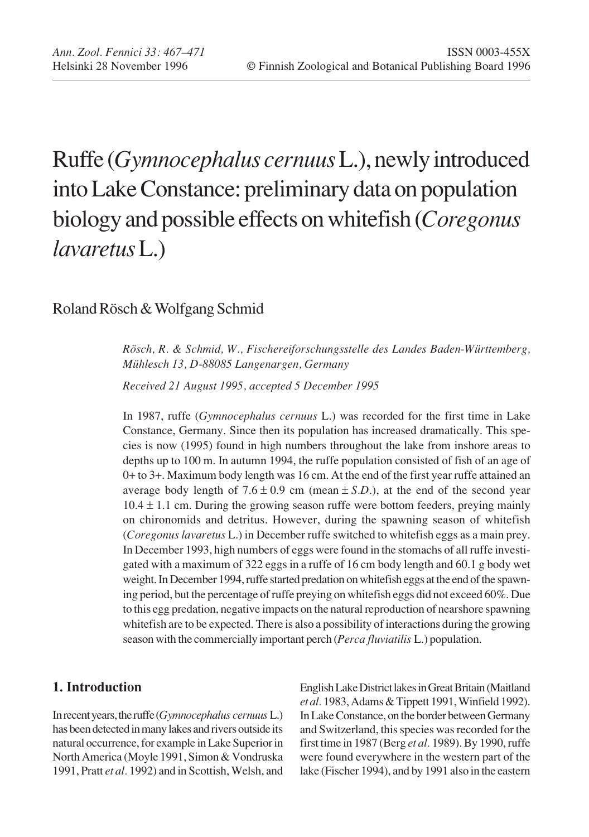# Ruffe (*Gymnocephalus cernuus* L.), newly introduced into Lake Constance: preliminary data on population biology and possible effects on whitefish (*Coregonus lavaretus* L.)

## Roland Rösch & Wolfgang Schmid

*Rösch, R. & Schmid, W., Fischereiforschungsstelle des Landes Baden-Württemberg, Mühlesch 13, D-88085 Langenargen, Germany*

*Received 21 August 1995, accepted 5 December 1995*

In 1987, ruffe (*Gymnocephalus cernuus* L.) was recorded for the first time in Lake Constance, Germany. Since then its population has increased dramatically. This species is now (1995) found in high numbers throughout the lake from inshore areas to depths up to 100 m. In autumn 1994, the ruffe population consisted of fish of an age of 0+ to 3+. Maximum body length was 16 cm. At the end of the first year ruffe attained an average body length of  $7.6 \pm 0.9$  cm (mean  $\pm$  *S.D.*), at the end of the second year  $10.4 \pm 1.1$  cm. During the growing season ruffe were bottom feeders, preying mainly on chironomids and detritus. However, during the spawning season of whitefish (*Coregonuslavaretus* L.) in December ruffe switched to whitefish eggs as a main prey. In December 1993, high numbers of eggs were found in the stomachs of all ruffe investigated with a maximum of 322 eggs in a ruffe of 16 cm body length and 60.1 g body wet weight. In December 1994, ruffe started predation on whitefish eggs at the end of the spawning period, but the percentage of ruffe preying on whitefish eggs did not exceed 60%. Due to this egg predation, negative impacts on the natural reproduction of nearshore spawning whitefish are to be expected. There is also a possibility of interactions during the growing season with the commercially important perch (*Perca fluviatilis* L.) population.

## **1. Introduction**

In recent years, the ruffe (*Gymnocephalus cernuus* L.) has been detected in many lakes and rivers outside its natural occurrence, for example in Lake Superior in North America (Moyle 1991, Simon & Vondruska 1991, Pratt *et al.* 1992) and in Scottish, Welsh, and

English Lake District lakes in Great Britain (Maitland *et al.* 1983, Adams & Tippett 1991, Winfield 1992). In Lake Constance, on the border between Germany and Switzerland, this species was recorded for the first time in 1987 (Berg *et al.* 1989). By 1990, ruffe were found everywhere in the western part of the lake (Fischer 1994), and by 1991 also in the eastern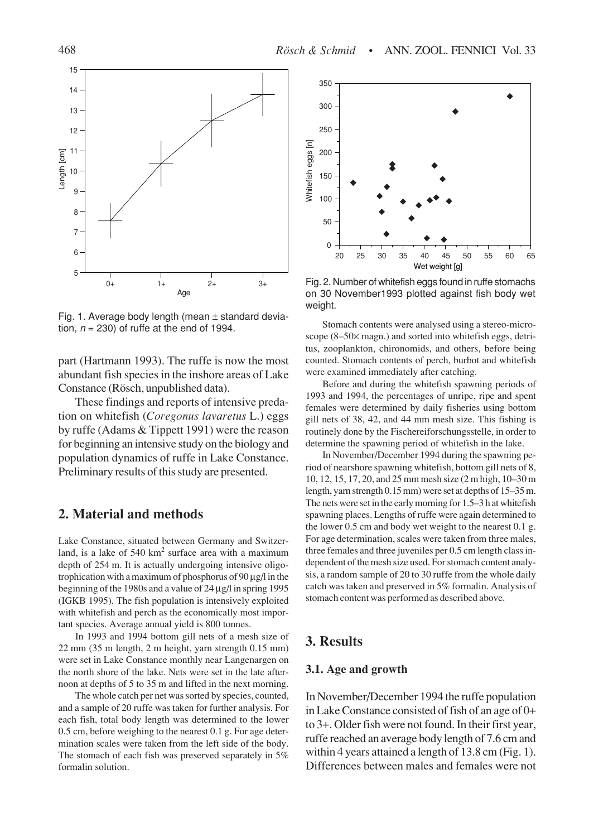

Fig. 1. Average body length (mean  $\pm$  standard deviation,  $n = 230$ ) of ruffe at the end of 1994.

part (Hartmann 1993). The ruffe is now the most abundant fish species in the inshore areas of Lake Constance (Rösch, unpublished data).

These findings and reports of intensive predation on whitefish (*Coregonus lavaretus* L.) eggs by ruffe (Adams & Tippett 1991) were the reason for beginning an intensive study on the biology and population dynamics of ruffe in Lake Constance. Preliminary results of this study are presented.

#### **2. Material and methods**

Lake Constance, situated between Germany and Switzerland, is a lake of  $540 \text{ km}^2$  surface area with a maximum depth of 254 m. It is actually undergoing intensive oligotrophication with a maximum of phosphorus of  $90 \mu g/l$  in the beginning of the 1980s and a value of 24 µg/l in spring 1995 (IGKB 1995). The fish population is intensively exploited with whitefish and perch as the economically most important species. Average annual yield is 800 tonnes.

In 1993 and 1994 bottom gill nets of a mesh size of 22 mm (35 m length, 2 m height, yarn strength 0.15 mm) were set in Lake Constance monthly near Langenargen on the north shore of the lake. Nets were set in the late afternoon at depths of 5 to 35 m and lifted in the next morning.

The whole catch per net was sorted by species, counted, and a sample of 20 ruffe was taken for further analysis. For each fish, total body length was determined to the lower 0.5 cm, before weighing to the nearest 0.1 g. For age determination scales were taken from the left side of the body. The stomach of each fish was preserved separately in 5% formalin solution.



Fig. 2. Number of whitefish eggs found in ruffe stomachs on 30 November1993 plotted against fish body wet weight.

Stomach contents were analysed using a stereo-microscope (8–50× magn.) and sorted into whitefish eggs, detritus, zooplankton, chironomids, and others, before being counted. Stomach contents of perch, burbot and whitefish were examined immediately after catching.

Before and during the whitefish spawning periods of 1993 and 1994, the percentages of unripe, ripe and spent females were determined by daily fisheries using bottom gill nets of 38, 42, and 44 mm mesh size. This fishing is routinely done by the Fischereiforschungsstelle, in order to determine the spawning period of whitefish in the lake.

In November/December 1994 during the spawning period of nearshore spawning whitefish, bottom gill nets of 8, 10, 12, 15, 17, 20, and 25 mm mesh size (2 m high, 10–30 m length, yarn strength 0.15 mm) were set at depths of 15–35 m. The nets were set in the early morning for 1.5–3 h at whitefish spawning places. Lengths of ruffe were again determined to the lower 0.5 cm and body wet weight to the nearest 0.1 g. For age determination, scales were taken from three males, three females and three juveniles per 0.5 cm length class independent of the mesh size used. For stomach content analysis, a random sample of 20 to 30 ruffe from the whole daily catch was taken and preserved in 5% formalin. Analysis of stomach content was performed as described above.

### **3. Results**

#### **3.1. Age and growth**

In November/December 1994 the ruffe population in Lake Constance consisted of fish of an age of 0+ to 3+. Older fish were not found. In their first year, ruffe reached an average body length of 7.6 cm and within 4 years attained a length of 13.8 cm (Fig. 1). Differences between males and females were not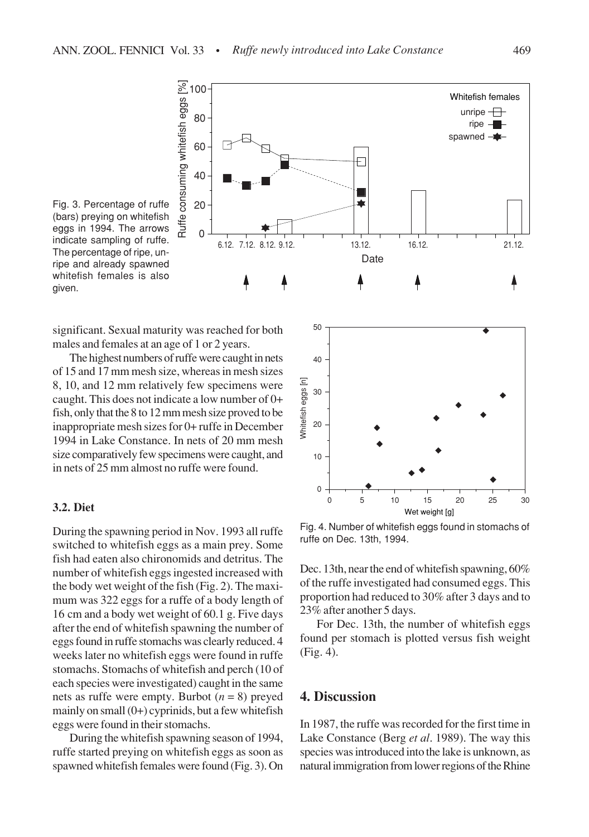

Fig. 3. Percentage of ruffe (bars) preying on whitefish eggs in 1994. The arrows indicate sampling of ruffe. The percentage of ripe, unripe and already spawned whitefish females is also given.

significant. Sexual maturity was reached for both males and females at an age of 1 or 2 years.

The highest numbers of ruffe were caught in nets of 15 and 17 mm mesh size, whereas in mesh sizes 8, 10, and 12 mm relatively few specimens were caught. This does not indicate a low number of 0+ fish, only that the 8 to 12 mm mesh size proved to be inappropriate mesh sizes for 0+ ruffe in December 1994 in Lake Constance. In nets of 20 mm mesh size comparatively few specimens were caught, and in nets of 25 mm almost no ruffe were found.

#### **3.2. Diet**

During the spawning period in Nov. 1993 all ruffe switched to whitefish eggs as a main prey. Some fish had eaten also chironomids and detritus. The number of whitefish eggs ingested increased with the body wet weight of the fish (Fig. 2). The maximum was 322 eggs for a ruffe of a body length of 16 cm and a body wet weight of 60.1 g. Five days after the end of whitefish spawning the number of eggs found in ruffe stomachs was clearly reduced. 4 weeks later no whitefish eggs were found in ruffe stomachs. Stomachs of whitefish and perch (10 of each species were investigated) caught in the same nets as ruffe were empty. Burbot  $(n = 8)$  preyed mainly on small  $(0+)$  cyprinids, but a few whitefish eggs were found in their stomachs.

During the whitefish spawning season of 1994, ruffe started preying on whitefish eggs as soon as spawned whitefish females were found (Fig. 3). On



Fig. 4. Number of whitefish eggs found in stomachs of ruffe on Dec. 13th, 1994.

Dec. 13th, near the end of whitefish spawning, 60% of the ruffe investigated had consumed eggs. This proportion had reduced to 30% after 3 days and to 23% after another 5 days.

For Dec. 13th, the number of whitefish eggs found per stomach is plotted versus fish weight (Fig. 4).

#### **4. Discussion**

In 1987, the ruffe was recorded for the first time in Lake Constance (Berg *et al*. 1989). The way this species was introduced into the lake is unknown, as natural immigration from lower regions of the Rhine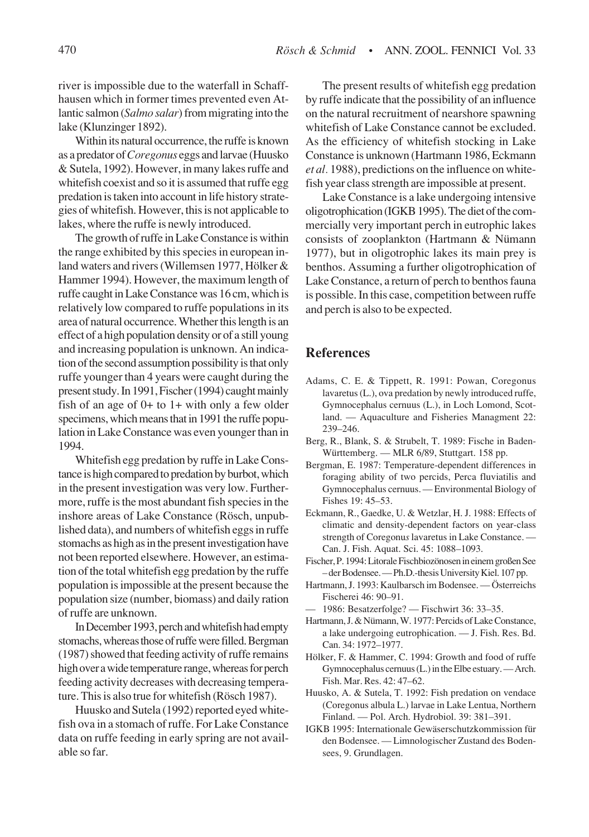river is impossible due to the waterfall in Schaffhausen which in former times prevented even Atlantic salmon (*Salmo salar*) from migrating into the lake (Klunzinger 1892).

Within its natural occurrence, the ruffe is known as a predator of *Coregonus* eggs and larvae (Huusko & Sutela, 1992). However, in many lakes ruffe and whitefish coexist and so it is assumed that ruffe egg predation is taken into account in life history strategies of whitefish. However, this is not applicable to lakes, where the ruffe is newly introduced.

The growth of ruffe in Lake Constance is within the range exhibited by this species in european inland waters and rivers (Willemsen 1977, Hölker & Hammer 1994). However, the maximum length of ruffe caught in Lake Constance was 16 cm, which is relatively low compared to ruffe populations in its area of natural occurrence. Whether this length is an effect of a high population density or of a still young and increasing population is unknown. An indication of the second assumption possibility is that only ruffe younger than 4 years were caught during the present study. In 1991, Fischer (1994) caught mainly fish of an age of 0+ to 1+ with only a few older specimens, which means that in 1991 the ruffe population in Lake Constance was even younger than in 1994.

Whitefish egg predation by ruffe in Lake Constance is high compared to predation by burbot, which in the present investigation was very low. Furthermore, ruffe is the most abundant fish species in the inshore areas of Lake Constance (Rösch, unpublished data), and numbers of whitefish eggs in ruffe stomachs as high as in the present investigation have not been reported elsewhere. However, an estimation of the total whitefish egg predation by the ruffe population is impossible at the present because the population size (number, biomass) and daily ration of ruffe are unknown.

In December 1993, perch and whitefish had empty stomachs, whereas those of ruffe were filled. Bergman (1987) showed that feeding activity of ruffe remains high over a wide temperature range, whereas for perch feeding activity decreases with decreasing temperature. This is also true for whitefish (Rösch 1987).

Huusko and Sutela (1992) reported eyed whitefish ova in a stomach of ruffe. For Lake Constance data on ruffe feeding in early spring are not available so far.

The present results of whitefish egg predation by ruffe indicate that the possibility of an influence on the natural recruitment of nearshore spawning whitefish of Lake Constance cannot be excluded. As the efficiency of whitefish stocking in Lake Constance is unknown (Hartmann 1986, Eckmann *et al.* 1988), predictions on the influence on whitefish year class strength are impossible at present.

Lake Constance is a lake undergoing intensive oligotrophication (IGKB 1995). The diet of the commercially very important perch in eutrophic lakes consists of zooplankton (Hartmann & Nümann 1977), but in oligotrophic lakes its main prey is benthos. Assuming a further oligotrophication of Lake Constance, a return of perch to benthos fauna is possible. In this case, competition between ruffe and perch is also to be expected.

#### **References**

- Adams, C. E. & Tippett, R. 1991: Powan, Coregonus lavaretus (L.), ova predation by newly introduced ruffe, Gymnocephalus cernuus (L.), in Loch Lomond, Scotland. — Aquaculture and Fisheries Managment 22: 239–246.
- Berg, R., Blank, S. & Strubelt, T. 1989: Fische in Baden-Württemberg. — MLR 6/89, Stuttgart. 158 pp.
- Bergman, E. 1987: Temperature-dependent differences in foraging ability of two percids, Perca fluviatilis and Gymnocephalus cernuus. — Environmental Biology of Fishes 19: 45–53.
- Eckmann, R., Gaedke, U. & Wetzlar, H. J. 1988: Effects of climatic and density-dependent factors on year-class strength of Coregonu*s* lavaretus in Lake Constance. — Can. J. Fish. Aquat. Sci. 45: 1088–1093.
- Fischer, P. 1994: Litorale Fischbiozönosen in einem großen See – der Bodensee. — Ph.D.-thesis University Kiel. 107 pp.
- Hartmann, J. 1993: Kaulbarsch im Bodensee. —Österreichs Fischerei 46: 90–91.
- 1986: Besatzerfolge? Fischwirt 36: 33–35.
- Hartmann, J. & Nümann, W. 1977: Percids of Lake Constance, a lake undergoing eutrophication. — J. Fish. Res. Bd. Can. 34: 1972–1977.
- Hölker, F. & Hammer, C. 1994: Growth and food of ruffe Gymnocephalus cernuus (L.) in the Elbe estuary. — Arch. Fish. Mar. Res. 42: 47–62.
- Huusko, A. & Sutela, T. 1992: Fish predation on vendace (Coregonus albula L.) larvae in Lake Lentua, Northern Finland. — Pol. Arch. Hydrobiol. 39: 381–391.
- IGKB 1995: Internationale Gewäserschutzkommission für den Bodensee. — Limnologischer Zustand des Bodensees, 9. Grundlagen.